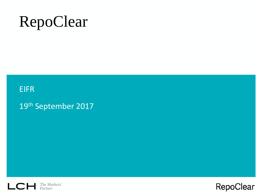# RepoClear

### EIFR

19th September 2017

Efficient Markets



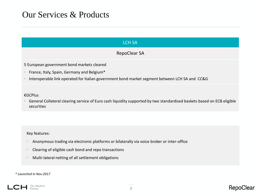### Our Services & Products

| <b>LCH SA</b>                                                                                                                                                                              |
|--------------------------------------------------------------------------------------------------------------------------------------------------------------------------------------------|
| <b>RepoClear SA</b>                                                                                                                                                                        |
| 5 European government bond markets cleared<br>France, Italy, Spain, Germany and Belgium*<br>Interoperable link operated for Italian government bond market segment between LCH SA and CC&G |
| €GCPlus<br>General Collateral clearing service of Euro cash liquidity supported by two standardised baskets based on ECB eligible<br>securities                                            |
|                                                                                                                                                                                            |
| Key features:<br>Anonymous trading via electronic platforms or bilaterally via voice broker or inter-office                                                                                |

- Clearing of eligible cash bond and repo transactions
- Multi-lateral netting of all settlement obligations

#### *\* Launched in Nov.2017*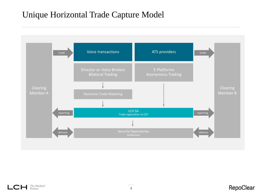### Unique Horizontal Trade Capture Model



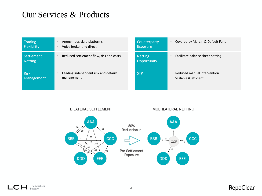### Our Services & Products

| <b>Trading</b>               | Anonymous via e-platforms               | Counterparty                  | Covered by Margin & Default Fund |
|------------------------------|-----------------------------------------|-------------------------------|----------------------------------|
| Flexibility                  | Voice broker and direct                 | Exposure                      |                                  |
| Settlement<br><b>Netting</b> | Reduced settlement flow, risk and costs | <b>Netting</b><br>Opportunity | Facilitate balance sheet netting |
| <b>Risk</b>                  | Leading independent risk and default    | <b>STP</b>                    | Reduced manual intervention      |
| Management                   | management                              |                               | Scalable & efficient             |



The Markets' Partner L CI

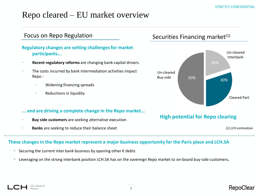### Repo cleared – EU market overview

#### Focus on Repo Regulation

#### **Regulatory changes are setting challenges for market participants...**

- **Recent regulatory reforms** are changing bank capital drivers.
- The costs incurred by bank intermediation activities impact Repo :
	- Widening financing spreads
	- Reductions in liquidity

#### **... and are driving a complete change in the Repo market...**

- **Buy side customers** are seeking alternative execution
- **Banks** are seeking to reduce their balance sheet

#### Securities Financing market $(1)$



#### **High potential for Repo clearing**

*(1) LCH estimation*

#### **These changes in the Repo market represent a major business opportunity for the Paris place and LCH.SA**

- Securing the current inter bank business by opening other € debts
- Leveraging on the strong interbank position LCH.SA has on the sovereign Repo market to on-board buy-side customers.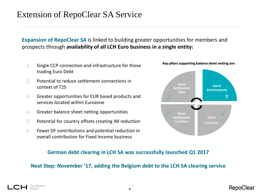### Extension of RepoClear SA Service

**Expansion of RepoClear SA** is linked to building greater opportunities for members and prospects through **availability of all LCH Euro business in a single entity:**

- 1. Single CCP connection and infrastructure for those trading Euro Debt
- 2. Potential to reduce settlement connections in context of T2S
- 3. Greater opportunities for EUR based products and services located within Eurozone
- 4. Greater balance sheet netting opportunities
- 5. Potential for country offsets creating IM reduction
- 6. Fewer DF contributions and potential reduction in overall contribution for Fixed Income business



#### **German debt clearing in LCH SA was successfully launched Q1 2017**

#### **Next Step: November '17, adding the Belgium debt to the LCH SA clearing service**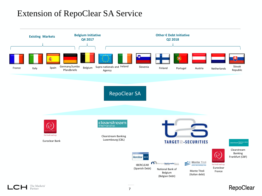### Extension of RepoClear SA Service



The Markets' L C.E Partner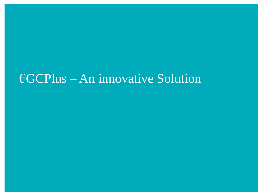## €GCPlus – An innovative Solution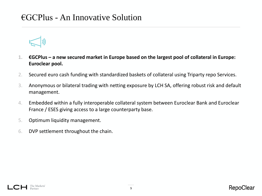### €GCPlus - An Innovative Solution



- **1. €GCPlus – a new secured market in Europe based on the largest pool of collateral in Europe: Euroclear pool.**
- 2. Secured euro cash funding with standardized baskets of collateral using Triparty repo Services.
- 3. Anonymous or bilateral trading with netting exposure by LCH SA, offering robust risk and default management.
- 4. Embedded within a fully interoperable collateral system between Euroclear Bank and Euroclear France / ESES giving access to a large counterparty base.
- 5. Optimum liquidity management.
- 6. DVP settlement throughout the chain.

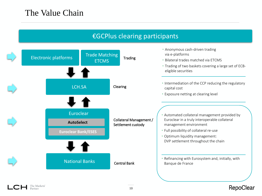#### €GCPlus clearing participants



The Markets'

#### RepoClear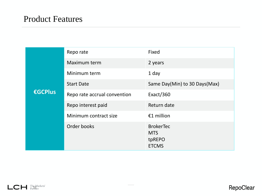|         | Repo rate                    | Fixed                                                    |
|---------|------------------------------|----------------------------------------------------------|
|         | Maximum term                 | 2 years                                                  |
|         | Minimum term                 | 1 day                                                    |
|         | <b>Start Date</b>            | Same Day(Min) to 30 Days(Max)                            |
| €GCPlus | Repo rate accrual convention | Exact/360                                                |
|         | Repo interest paid           | Return date                                              |
|         | Minimum contract size        | €1 million                                               |
|         | Order books                  | <b>BrokerTec</b><br><b>MTS</b><br>tpREPO<br><b>ETCMS</b> |

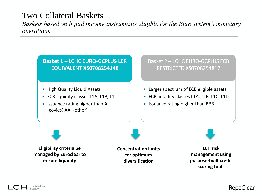### Two Collateral Baskets

*Baskets based on liquid income instruments eligible for the Euro system's monetary operations* 

**Basket 1 – LCHC EURO-GCPLUS LCR EQUIVALENT XS0708254148**

- High Quality Liquid Assets
- ECB liquidity classes L1A, L1B, L1C
- Issuance rating higher than A- (govies) AA- (other)

Basket 2 – LCHC EURO-GCPLUS ECB RESTRICTED XS0708254817

- Larger spectrum of ECB eligible assets
- ECB liquidity classes L1A, L1B, L1C, L1D
- Issuance rating higher than BBB-

**Eligibility criteria be managed by Euroclear to ensure liquidity**

**Concentration limits for optimum diversification**

**LCH risk management using purpose-built credit scoring tools**

The Markets'